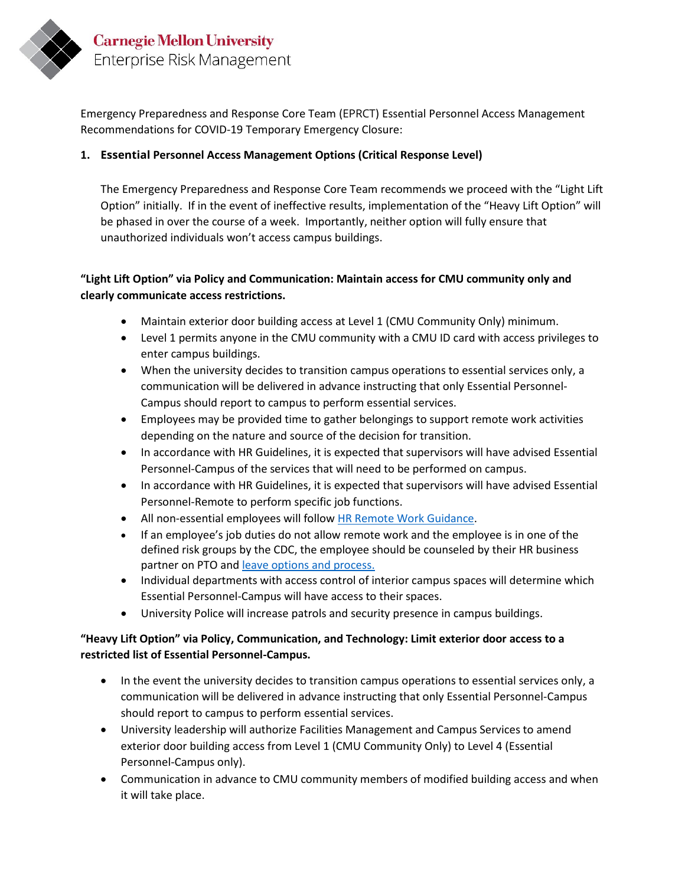

Emergency Preparedness and Response Core Team (EPRCT) Essential Personnel Access Management Recommendations for COVID-19 Temporary Emergency Closure:

#### **1. Essential Personnel Access Management Options (Critical Response Level)**

The Emergency Preparedness and Response Core Team recommends we proceed with the "Light Lift Option" initially. If in the event of ineffective results, implementation of the "Heavy Lift Option" will be phased in over the course of a week. Importantly, neither option will fully ensure that unauthorized individuals won't access campus buildings.

### **"Light Lift Option" via Policy and Communication: Maintain access for CMU community only and clearly communicate access restrictions.**

- Maintain exterior door building access at Level 1 (CMU Community Only) minimum.
- Level 1 permits anyone in the CMU community with a CMU ID card with access privileges to enter campus buildings.
- When the university decides to transition campus operations to essential services only, a communication will be delivered in advance instructing that only Essential Personnel-Campus should report to campus to perform essential services.
- Employees may be provided time to gather belongings to support remote work activities depending on the nature and source of the decision for transition.
- In accordance with HR Guidelines, it is expected that supervisors will have advised Essential Personnel-Campus of the services that will need to be performed on campus.
- In accordance with HR Guidelines, it is expected that supervisors will have advised Essential Personnel-Remote to perform specific job functions.
- All non-essential employees will follow [HR Remote Work Guidance.](https://www.cmu.edu/hr/coronavirus/detailed-guidelines.html#special-situations)
- If an employee's job duties do not allow remote work and the employee is in one of the defined risk groups by the CDC, the employee should be counseled by their HR business partner on PTO and [leave options and process.](https://www.cmu.edu/hr/coronavirus/leave-guidance.html)
- Individual departments with access control of interior campus spaces will determine which Essential Personnel-Campus will have access to their spaces.
- University Police will increase patrols and security presence in campus buildings.

#### **"Heavy Lift Option" via Policy, Communication, and Technology: Limit exterior door access to a restricted list of Essential Personnel-Campus.**

- In the event the university decides to transition campus operations to essential services only, a communication will be delivered in advance instructing that only Essential Personnel-Campus should report to campus to perform essential services.
- University leadership will authorize Facilities Management and Campus Services to amend exterior door building access from Level 1 (CMU Community Only) to Level 4 (Essential Personnel-Campus only).
- Communication in advance to CMU community members of modified building access and when it will take place.